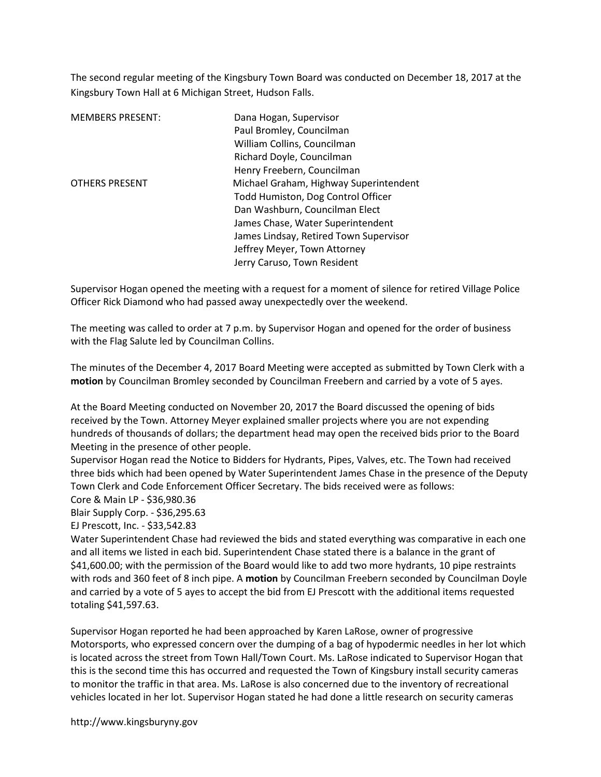The second regular meeting of the Kingsbury Town Board was conducted on December 18, 2017 at the Kingsbury Town Hall at 6 Michigan Street, Hudson Falls.

| <b>MEMBERS PRESENT:</b> | Dana Hogan, Supervisor                 |
|-------------------------|----------------------------------------|
|                         | Paul Bromley, Councilman               |
|                         | William Collins, Councilman            |
|                         | Richard Doyle, Councilman              |
|                         | Henry Freebern, Councilman             |
| <b>OTHERS PRESENT</b>   | Michael Graham, Highway Superintendent |
|                         | Todd Humiston, Dog Control Officer     |
|                         | Dan Washburn, Councilman Elect         |
|                         | James Chase, Water Superintendent      |
|                         | James Lindsay, Retired Town Supervisor |
|                         | Jeffrey Meyer, Town Attorney           |
|                         | Jerry Caruso, Town Resident            |

Supervisor Hogan opened the meeting with a request for a moment of silence for retired Village Police Officer Rick Diamond who had passed away unexpectedly over the weekend.

The meeting was called to order at 7 p.m. by Supervisor Hogan and opened for the order of business with the Flag Salute led by Councilman Collins.

The minutes of the December 4, 2017 Board Meeting were accepted as submitted by Town Clerk with a motion by Councilman Bromley seconded by Councilman Freebern and carried by a vote of 5 ayes.

At the Board Meeting conducted on November 20, 2017 the Board discussed the opening of bids received by the Town. Attorney Meyer explained smaller projects where you are not expending hundreds of thousands of dollars; the department head may open the received bids prior to the Board Meeting in the presence of other people.

Supervisor Hogan read the Notice to Bidders for Hydrants, Pipes, Valves, etc. The Town had received three bids which had been opened by Water Superintendent James Chase in the presence of the Deputy Town Clerk and Code Enforcement Officer Secretary. The bids received were as follows:

Core & Main LP - \$36,980.36

Blair Supply Corp. - \$36,295.63

EJ Prescott, Inc. - \$33,542.83

Water Superintendent Chase had reviewed the bids and stated everything was comparative in each one and all items we listed in each bid. Superintendent Chase stated there is a balance in the grant of \$41,600.00; with the permission of the Board would like to add two more hydrants, 10 pipe restraints with rods and 360 feet of 8 inch pipe. A motion by Councilman Freebern seconded by Councilman Doyle and carried by a vote of 5 ayes to accept the bid from EJ Prescott with the additional items requested totaling \$41,597.63.

Supervisor Hogan reported he had been approached by Karen LaRose, owner of progressive Motorsports, who expressed concern over the dumping of a bag of hypodermic needles in her lot which is located across the street from Town Hall/Town Court. Ms. LaRose indicated to Supervisor Hogan that this is the second time this has occurred and requested the Town of Kingsbury install security cameras to monitor the traffic in that area. Ms. LaRose is also concerned due to the inventory of recreational vehicles located in her lot. Supervisor Hogan stated he had done a little research on security cameras

http://www.kingsburyny.gov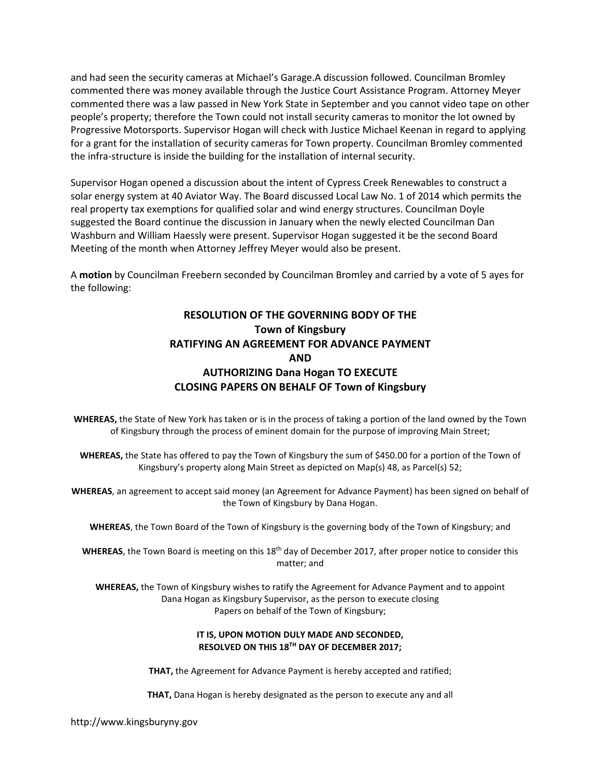and had seen the security cameras at Michael's Garage.A discussion followed. Councilman Bromley commented there was money available through the Justice Court Assistance Program. Attorney Meyer commented there was a law passed in New York State in September and you cannot video tape on other people's property; therefore the Town could not install security cameras to monitor the lot owned by Progressive Motorsports. Supervisor Hogan will check with Justice Michael Keenan in regard to applying for a grant for the installation of security cameras for Town property. Councilman Bromley commented the infra-structure is inside the building for the installation of internal security.

Supervisor Hogan opened a discussion about the intent of Cypress Creek Renewables to construct a solar energy system at 40 Aviator Way. The Board discussed Local Law No. 1 of 2014 which permits the real property tax exemptions for qualified solar and wind energy structures. Councilman Doyle suggested the Board continue the discussion in January when the newly elected Councilman Dan Washburn and William Haessly were present. Supervisor Hogan suggested it be the second Board Meeting of the month when Attorney Jeffrey Meyer would also be present.

A motion by Councilman Freebern seconded by Councilman Bromley and carried by a vote of 5 ayes for the following:

# RESOLUTION OF THE GOVERNING BODY OF THE Town of Kingsbury RATIFYING AN AGREEMENT FOR ADVANCE PAYMENT AND AUTHORIZING Dana Hogan TO EXECUTE CLOSING PAPERS ON BEHALF OF Town of Kingsbury

WHEREAS, the State of New York has taken or is in the process of taking a portion of the land owned by the Town of Kingsbury through the process of eminent domain for the purpose of improving Main Street;

WHEREAS, the State has offered to pay the Town of Kingsbury the sum of \$450.00 for a portion of the Town of Kingsbury's property along Main Street as depicted on Map(s) 48, as Parcel(s) 52;

WHEREAS, an agreement to accept said money (an Agreement for Advance Payment) has been signed on behalf of the Town of Kingsbury by Dana Hogan.

WHEREAS, the Town Board of the Town of Kingsbury is the governing body of the Town of Kingsbury; and

WHEREAS, the Town Board is meeting on this 18<sup>th</sup> day of December 2017, after proper notice to consider this matter; and

WHEREAS, the Town of Kingsbury wishes to ratify the Agreement for Advance Payment and to appoint Dana Hogan as Kingsbury Supervisor, as the person to execute closing Papers on behalf of the Town of Kingsbury;

### IT IS, UPON MOTION DULY MADE AND SECONDED, RESOLVED ON THIS 18TH DAY OF DECEMBER 2017;

THAT, the Agreement for Advance Payment is hereby accepted and ratified;

THAT, Dana Hogan is hereby designated as the person to execute any and all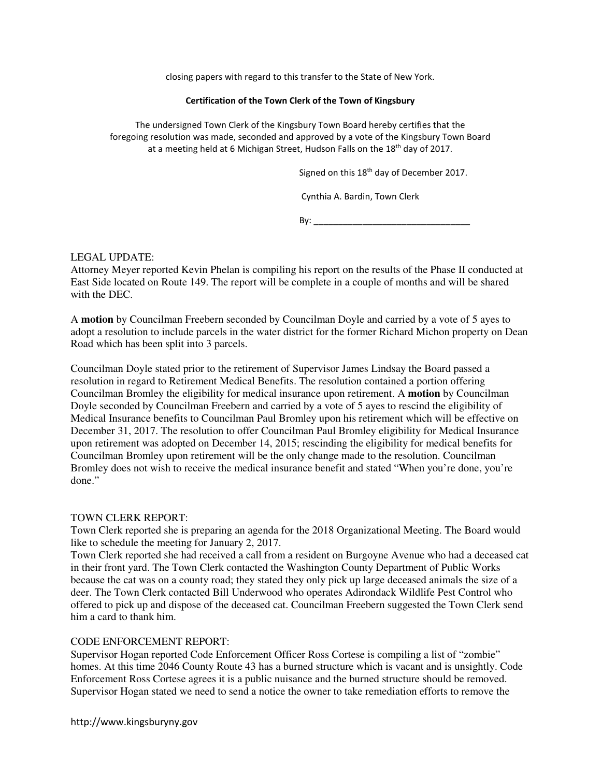closing papers with regard to this transfer to the State of New York.

#### Certification of the Town Clerk of the Town of Kingsbury

The undersigned Town Clerk of the Kingsbury Town Board hereby certifies that the foregoing resolution was made, seconded and approved by a vote of the Kingsbury Town Board at a meeting held at 6 Michigan Street, Hudson Falls on the 18<sup>th</sup> day of 2017.

Signed on this 18<sup>th</sup> day of December 2017.

Cynthia A. Bardin, Town Clerk

By: \_\_\_\_\_\_\_\_\_\_\_\_\_\_\_\_\_\_\_\_\_\_\_\_\_\_\_\_\_\_\_\_

### LEGAL UPDATE:

Attorney Meyer reported Kevin Phelan is compiling his report on the results of the Phase II conducted at East Side located on Route 149. The report will be complete in a couple of months and will be shared with the DEC.

A **motion** by Councilman Freebern seconded by Councilman Doyle and carried by a vote of 5 ayes to adopt a resolution to include parcels in the water district for the former Richard Michon property on Dean Road which has been split into 3 parcels.

Councilman Doyle stated prior to the retirement of Supervisor James Lindsay the Board passed a resolution in regard to Retirement Medical Benefits. The resolution contained a portion offering Councilman Bromley the eligibility for medical insurance upon retirement. A **motion** by Councilman Doyle seconded by Councilman Freebern and carried by a vote of 5 ayes to rescind the eligibility of Medical Insurance benefits to Councilman Paul Bromley upon his retirement which will be effective on December 31, 2017. The resolution to offer Councilman Paul Bromley eligibility for Medical Insurance upon retirement was adopted on December 14, 2015; rescinding the eligibility for medical benefits for Councilman Bromley upon retirement will be the only change made to the resolution. Councilman Bromley does not wish to receive the medical insurance benefit and stated "When you're done, you're done."

### TOWN CLERK REPORT:

Town Clerk reported she is preparing an agenda for the 2018 Organizational Meeting. The Board would like to schedule the meeting for January 2, 2017.

Town Clerk reported she had received a call from a resident on Burgoyne Avenue who had a deceased cat in their front yard. The Town Clerk contacted the Washington County Department of Public Works because the cat was on a county road; they stated they only pick up large deceased animals the size of a deer. The Town Clerk contacted Bill Underwood who operates Adirondack Wildlife Pest Control who offered to pick up and dispose of the deceased cat. Councilman Freebern suggested the Town Clerk send him a card to thank him.

### CODE ENFORCEMENT REPORT:

Supervisor Hogan reported Code Enforcement Officer Ross Cortese is compiling a list of "zombie" homes. At this time 2046 County Route 43 has a burned structure which is vacant and is unsightly. Code Enforcement Ross Cortese agrees it is a public nuisance and the burned structure should be removed. Supervisor Hogan stated we need to send a notice the owner to take remediation efforts to remove the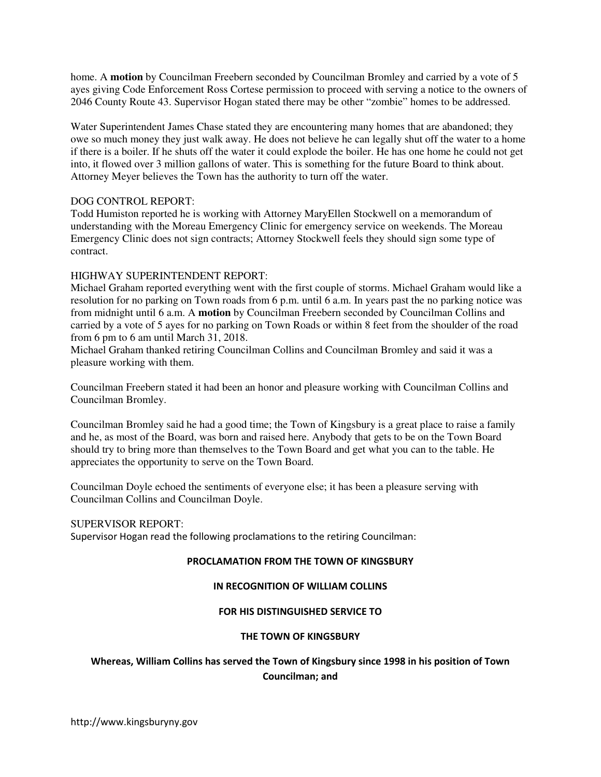home. A **motion** by Councilman Freebern seconded by Councilman Bromley and carried by a vote of 5 ayes giving Code Enforcement Ross Cortese permission to proceed with serving a notice to the owners of 2046 County Route 43. Supervisor Hogan stated there may be other "zombie" homes to be addressed.

Water Superintendent James Chase stated they are encountering many homes that are abandoned; they owe so much money they just walk away. He does not believe he can legally shut off the water to a home if there is a boiler. If he shuts off the water it could explode the boiler. He has one home he could not get into, it flowed over 3 million gallons of water. This is something for the future Board to think about. Attorney Meyer believes the Town has the authority to turn off the water.

### DOG CONTROL REPORT:

Todd Humiston reported he is working with Attorney MaryEllen Stockwell on a memorandum of understanding with the Moreau Emergency Clinic for emergency service on weekends. The Moreau Emergency Clinic does not sign contracts; Attorney Stockwell feels they should sign some type of contract.

### HIGHWAY SUPERINTENDENT REPORT:

Michael Graham reported everything went with the first couple of storms. Michael Graham would like a resolution for no parking on Town roads from 6 p.m. until 6 a.m. In years past the no parking notice was from midnight until 6 a.m. A **motion** by Councilman Freebern seconded by Councilman Collins and carried by a vote of 5 ayes for no parking on Town Roads or within 8 feet from the shoulder of the road from 6 pm to 6 am until March 31, 2018.

Michael Graham thanked retiring Councilman Collins and Councilman Bromley and said it was a pleasure working with them.

Councilman Freebern stated it had been an honor and pleasure working with Councilman Collins and Councilman Bromley.

Councilman Bromley said he had a good time; the Town of Kingsbury is a great place to raise a family and he, as most of the Board, was born and raised here. Anybody that gets to be on the Town Board should try to bring more than themselves to the Town Board and get what you can to the table. He appreciates the opportunity to serve on the Town Board.

Councilman Doyle echoed the sentiments of everyone else; it has been a pleasure serving with Councilman Collins and Councilman Doyle.

#### SUPERVISOR REPORT:

Supervisor Hogan read the following proclamations to the retiring Councilman:

#### PROCLAMATION FROM THE TOWN OF KINGSBURY

#### IN RECOGNITION OF WILLIAM COLLINS

#### FOR HIS DISTINGUISHED SERVICE TO

#### THE TOWN OF KINGSBURY

## Whereas, William Collins has served the Town of Kingsbury since 1998 in his position of Town Councilman; and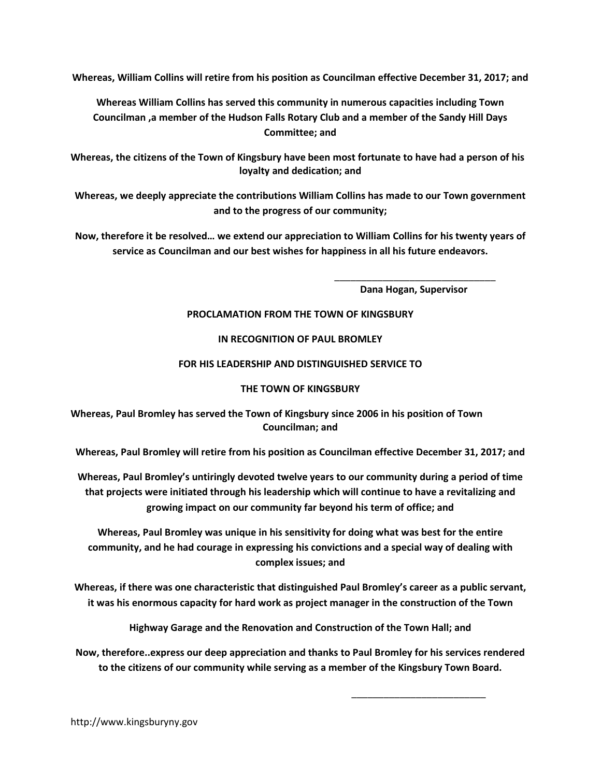Whereas, William Collins will retire from his position as Councilman effective December 31, 2017; and

Whereas William Collins has served this community in numerous capacities including Town Councilman ,a member of the Hudson Falls Rotary Club and a member of the Sandy Hill Days Committee; and

Whereas, the citizens of the Town of Kingsbury have been most fortunate to have had a person of his loyalty and dedication; and

Whereas, we deeply appreciate the contributions William Collins has made to our Town government and to the progress of our community;

Now, therefore it be resolved… we extend our appreciation to William Collins for his twenty years of service as Councilman and our best wishes for happiness in all his future endeavors.

 $\frac{1}{\sqrt{2}}$  ,  $\frac{1}{\sqrt{2}}$  ,  $\frac{1}{\sqrt{2}}$  ,  $\frac{1}{\sqrt{2}}$  ,  $\frac{1}{\sqrt{2}}$  ,  $\frac{1}{\sqrt{2}}$  ,  $\frac{1}{\sqrt{2}}$  ,  $\frac{1}{\sqrt{2}}$  ,  $\frac{1}{\sqrt{2}}$  ,  $\frac{1}{\sqrt{2}}$  ,  $\frac{1}{\sqrt{2}}$  ,  $\frac{1}{\sqrt{2}}$  ,  $\frac{1}{\sqrt{2}}$  ,  $\frac{1}{\sqrt{2}}$  ,  $\frac{1}{\sqrt{2}}$ 

Dana Hogan, Supervisor

### PROCLAMATION FROM THE TOWN OF KINGSBURY

### IN RECOGNITION OF PAUL BROMLEY

### FOR HIS LEADERSHIP AND DISTINGUISHED SERVICE TO

### THE TOWN OF KINGSBURY

Whereas, Paul Bromley has served the Town of Kingsbury since 2006 in his position of Town Councilman; and

Whereas, Paul Bromley will retire from his position as Councilman effective December 31, 2017; and

Whereas, Paul Bromley's untiringly devoted twelve years to our community during a period of time that projects were initiated through his leadership which will continue to have a revitalizing and growing impact on our community far beyond his term of office; and

Whereas, Paul Bromley was unique in his sensitivity for doing what was best for the entire community, and he had courage in expressing his convictions and a special way of dealing with complex issues; and

Whereas, if there was one characteristic that distinguished Paul Bromley's career as a public servant, it was his enormous capacity for hard work as project manager in the construction of the Town

Highway Garage and the Renovation and Construction of the Town Hall; and

Now, therefore..express our deep appreciation and thanks to Paul Bromley for his services rendered to the citizens of our community while serving as a member of the Kingsbury Town Board.

 $\overline{\phantom{a}}$  , where  $\overline{\phantom{a}}$  , where  $\overline{\phantom{a}}$  , where  $\overline{\phantom{a}}$  , where  $\overline{\phantom{a}}$  , where  $\overline{\phantom{a}}$